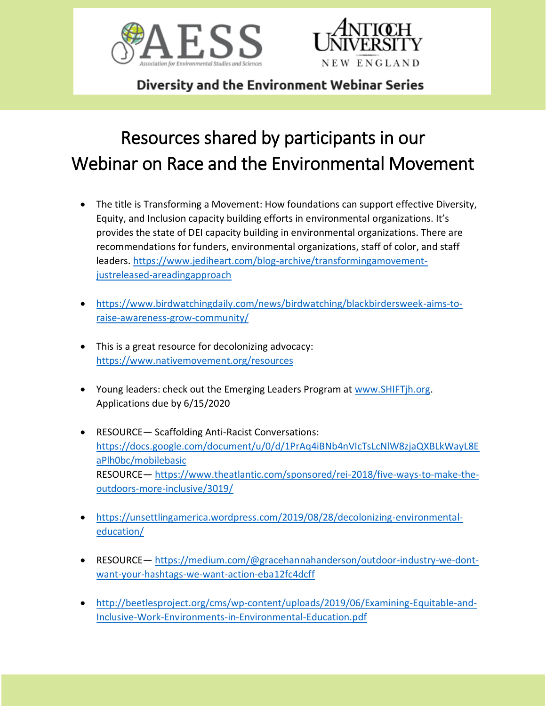



Diversity and the Environment Webinar Series

## Resources shared by participants in our Webinar on Race and the Environmental Movement

- The title is Transforming a Movement: How foundations can support effective Diversity, Equity, and Inclusion capacity building efforts in environmental organizations. It's provides the state of DEI capacity building in environmental organizations. There are recommendations for funders, environmental organizations, staff of color, and staff leaders. [https://www.jediheart.com/blog-archive/transformingamovement](https://www.jediheart.com/blog-archive/transformingamovement-justreleased-areadingapproach)[justreleased-areadingapproach](https://www.jediheart.com/blog-archive/transformingamovement-justreleased-areadingapproach)
- [https://www.birdwatchingdaily.com/news/birdwatching/blackbirdersweek-aims-to](https://www.birdwatchingdaily.com/news/birdwatching/blackbirdersweek-aims-to-raise-awareness-grow-community/)[raise-awareness-grow-community/](https://www.birdwatchingdaily.com/news/birdwatching/blackbirdersweek-aims-to-raise-awareness-grow-community/)
- This is a great resource for decolonizing advocacy: <https://www.nativemovement.org/resources>
- Young leaders: check out the Emerging Leaders Program at [www.SHIFTjh.org.](www.SHIFTjh.org) Applications due by 6/15/2020
- RESOURCE— Scaffolding Anti-Racist Conversations: [https://docs.google.com/document/u/0/d/1PrAq4iBNb4nVIcTsLcNlW8zjaQXBLkWayL8E](https://docs.google.com/document/u/0/d/1PrAq4iBNb4nVIcTsLcNlW8zjaQXBLkWayL8EaPlh0bc/mobilebasic) [aPlh0bc/mobilebasic](https://docs.google.com/document/u/0/d/1PrAq4iBNb4nVIcTsLcNlW8zjaQXBLkWayL8EaPlh0bc/mobilebasic) RESOURCE— [https://www.theatlantic.com/sponsored/rei-2018/five-ways-to-make-the](https://www.theatlantic.com/sponsored/rei-2018/five-ways-to-make-the-outdoors-more-inclusive/3019/)[outdoors-more-inclusive/3019/](https://www.theatlantic.com/sponsored/rei-2018/five-ways-to-make-the-outdoors-more-inclusive/3019/)
- [https://unsettlingamerica.wordpress.com/2019/08/28/decolonizing-environmental](https://unsettlingamerica.wordpress.com/2019/08/28/decolonizing-environmental-education/)[education/](https://unsettlingamerica.wordpress.com/2019/08/28/decolonizing-environmental-education/)
- RESOURCE— [https://medium.com/@gracehannahanderson/outdoor-industry-we-dont](https://medium.com/@gracehannahanderson/outdoor-industry-we-dont-want-your-hashtags-we-want-action-eba12fc4dcff)[want-your-hashtags-we-want-action-eba12fc4dcff](https://medium.com/@gracehannahanderson/outdoor-industry-we-dont-want-your-hashtags-we-want-action-eba12fc4dcff)
- [http://beetlesproject.org/cms/wp-content/uploads/2019/06/Examining-Equitable-and-](http://beetlesproject.org/cms/wp-content/uploads/2019/06/Examining-Equitable-and-Inclusive-Work-Environments-in-Environmental-Education.pdf)[Inclusive-Work-Environments-in-Environmental-Education.pdf](http://beetlesproject.org/cms/wp-content/uploads/2019/06/Examining-Equitable-and-Inclusive-Work-Environments-in-Environmental-Education.pdf)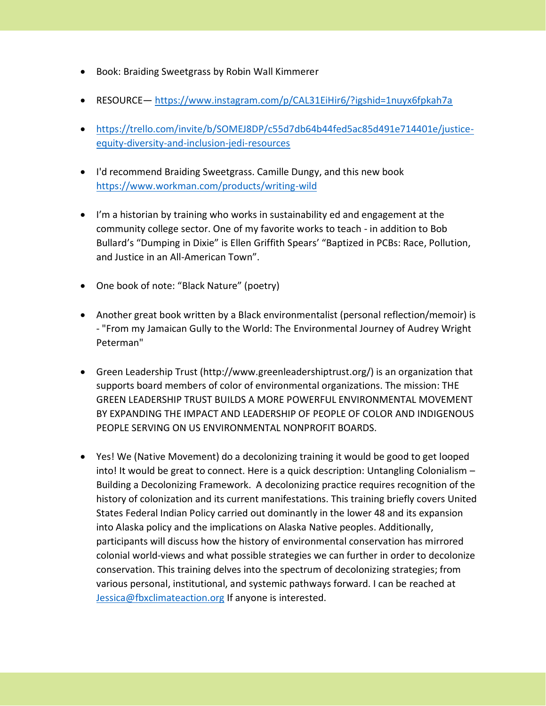- Book: Braiding Sweetgrass by Robin Wall Kimmerer
- RESOURCE— <https://www.instagram.com/p/CAL31EiHir6/?igshid=1nuyx6fpkah7a>
- [https://trello.com/invite/b/SOMEJ8DP/c55d7db64b44fed5ac85d491e714401e/justice](https://trello.com/invite/b/SOMEJ8DP/c55d7db64b44fed5ac85d491e714401e/justice-equity-diversity-and-inclusion-jedi-resources)[equity-diversity-and-inclusion-jedi-resources](https://trello.com/invite/b/SOMEJ8DP/c55d7db64b44fed5ac85d491e714401e/justice-equity-diversity-and-inclusion-jedi-resources)
- I'd recommend Braiding Sweetgrass. Camille Dungy, and this new book <https://www.workman.com/products/writing-wild>
- I'm a historian by training who works in sustainability ed and engagement at the community college sector. One of my favorite works to teach - in addition to Bob Bullard's "Dumping in Dixie" is Ellen Griffith Spears' "Baptized in PCBs: Race, Pollution, and Justice in an All-American Town".
- One book of note: "Black Nature" (poetry)
- Another great book written by a Black environmentalist (personal reflection/memoir) is - "From my Jamaican Gully to the World: The Environmental Journey of Audrey Wright Peterman"
- Green Leadership Trust (http://www.greenleadershiptrust.org/) is an organization that supports board members of color of environmental organizations. The mission: THE GREEN LEADERSHIP TRUST BUILDS A MORE POWERFUL ENVIRONMENTAL MOVEMENT BY EXPANDING THE IMPACT AND LEADERSHIP OF PEOPLE OF COLOR AND INDIGENOUS PEOPLE SERVING ON US ENVIRONMENTAL NONPROFIT BOARDS.
- Yes! We (Native Movement) do a decolonizing training it would be good to get looped into! It would be great to connect. Here is a quick description: Untangling Colonialism – Building a Decolonizing Framework. A decolonizing practice requires recognition of the history of colonization and its current manifestations. This training briefly covers United States Federal Indian Policy carried out dominantly in the lower 48 and its expansion into Alaska policy and the implications on Alaska Native peoples. Additionally, participants will discuss how the history of environmental conservation has mirrored colonial world-views and what possible strategies we can further in order to decolonize conservation. This training delves into the spectrum of decolonizing strategies; from various personal, institutional, and systemic pathways forward. I can be reached at [Jessica@fbxclimateaction.org](mailto:Jessica@fbxclimateaction.org) If anyone is interested.